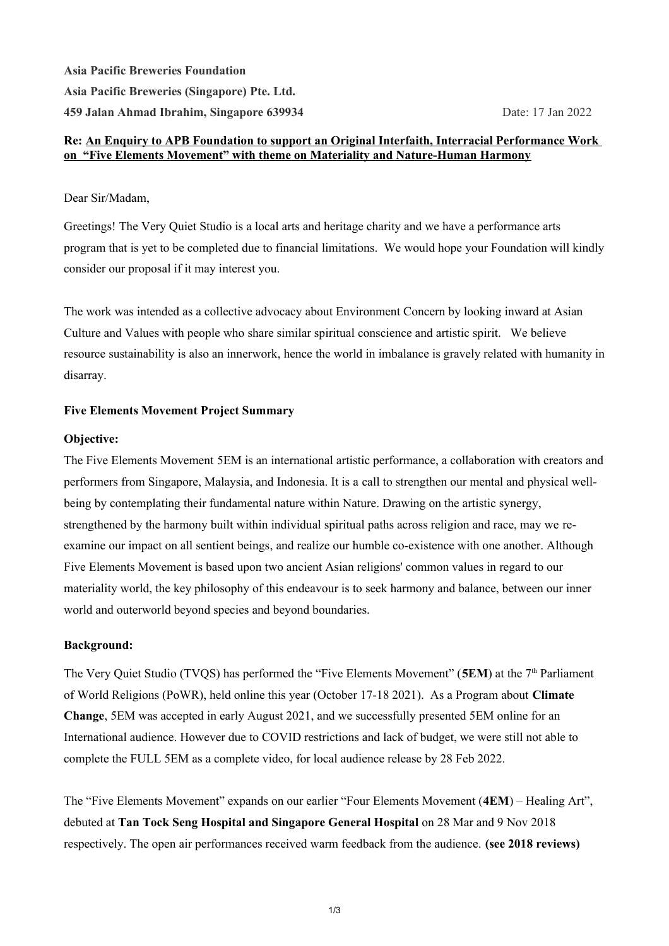## **Re: An Enquiry to APB Foundation to support an Original Interfaith, Interracial Performance Work on "Five Elements Movement" with theme on Materiality and Nature-Human Harmony**

#### Dear Sir/Madam,

Greetings! The Very Quiet Studio is a local arts and heritage charity and we have a performance arts program that is yet to be completed due to financial limitations. We would hope your Foundation will kindly consider our proposal if it may interest you.

The work was intended as a collective advocacy about Environment Concern by looking inward at Asian Culture and Values with people who share similar spiritual conscience and artistic spirit. We believe resource sustainability is also an innerwork, hence the world in imbalance is gravely related with humanity in disarray.

### **Five Elements Movement Project Summary**

### **Objective:**

The Five Elements Movement 5EM is an international artistic performance, a collaboration with creators and performers from Singapore, Malaysia, and Indonesia. It is a call to strengthen our mental and physical wellbeing by contemplating their fundamental nature within Nature. Drawing on the artistic synergy, strengthened by the harmony built within individual spiritual paths across religion and race, may we reexamine our impact on all sentient beings, and realize our humble co-existence with one another. Although Five Elements Movement is based upon two ancient Asian religions' common values in regard to our materiality world, the key philosophy of this endeavour is to seek harmony and balance, between our inner world and outerworld beyond species and beyond boundaries.

### **Background:**

The Very Quiet Studio (TVQS) has performed the "Five Elements Movement" (**5EM**) at the 7<sup>th</sup> Parliament of World Religions (PoWR), held online this year (October 17-18 2021). As a Program about **Climate Change**, 5EM was accepted in early August 2021, and we successfully presented 5EM online for an International audience. However due to COVID restrictions and lack of budget, we were still not able to complete the FULL 5EM as a complete video, for local audience release by 28 Feb 2022.

The "Five Elements Movement" expands on our earlier "Four Elements Movement (**4EM**) – Healing Art", debuted at **Tan Tock Seng Hospital and Singapore General Hospital** on 28 Mar and 9 Nov 2018 respectively. The open air performances received warm feedback from the audience. **(see 2018 reviews)**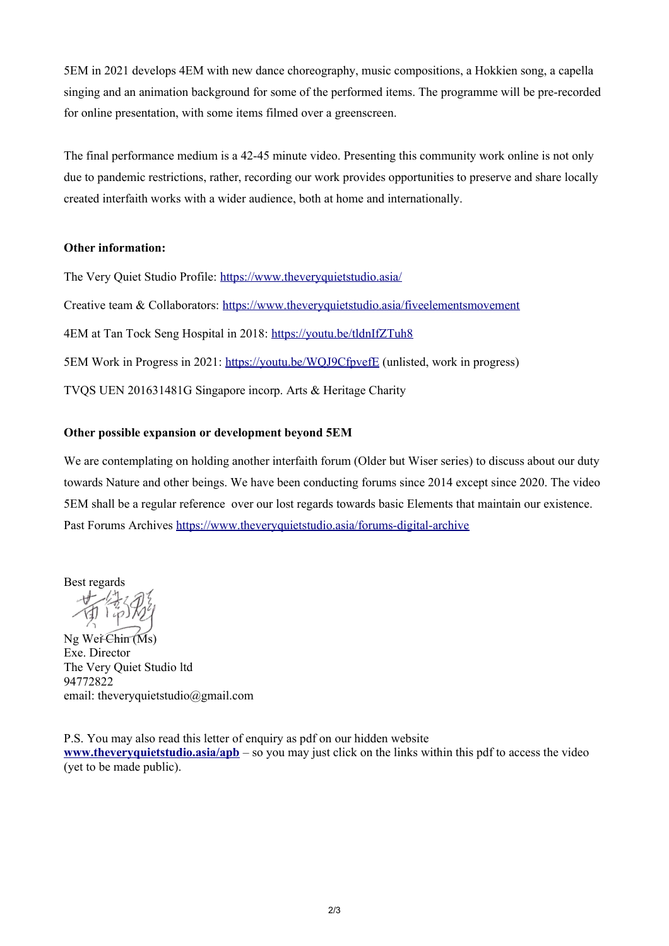5EM in 2021 develops 4EM with new dance choreography, music compositions, a Hokkien song, a capella singing and an animation background for some of the performed items. The programme will be pre-recorded for online presentation, with some items filmed over a greenscreen.

The final performance medium is a 42-45 minute video. Presenting this community work online is not only due to pandemic restrictions, rather, recording our work provides opportunities to preserve and share locally created interfaith works with a wider audience, both at home and internationally.

# **Other information:**

The Very Quiet Studio Profile:<https://www.theveryquietstudio.asia/>

Creative team & Collaborators:<https://www.theveryquietstudio.asia/fiveelementsmovement>

4EM at Tan Tock Seng Hospital in 2018:<https://youtu.be/tldnIfZTuh8>

5EM Work in Progress in 2021:<https://youtu.be/WQJ9CfpvefE>(unlisted, work in progress)

TVQS UEN 201631481G Singapore incorp. Arts & Heritage Charity

# **Other possible expansion or development beyond 5EM**

We are contemplating on holding another interfaith forum (Older but Wiser series) to discuss about our duty towards Nature and other beings. We have been conducting forums since 2014 except since 2020. The video 5EM shall be a regular reference over our lost regards towards basic Elements that maintain our existence. Past Forums Archives<https://www.theveryquietstudio.asia/forums-digital-archive>

Best regards

Ng Wei Chin (Ms) Exe. Director The Very Quiet Studio ltd 94772822 email: theveryquietstudio@gmail.com

P.S. You may also read this letter of enquiry as pdf on our hidden website **[www.theveryquietstudio.asia/apb](http://www.theveryquietstudio.asia/apb)** – so you may just click on the links within this pdf to access the video (yet to be made public).